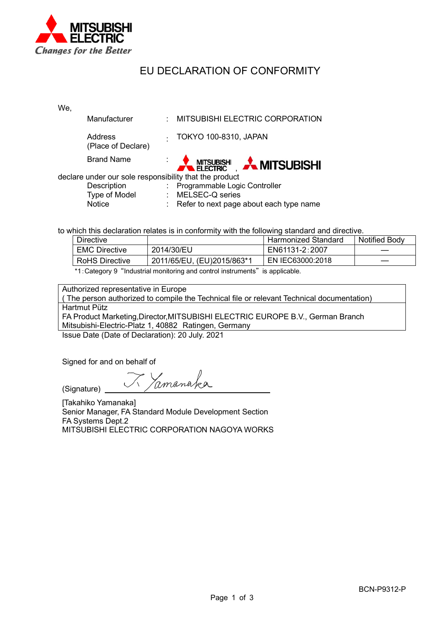

## EU DECLARATION OF CONFORMITY

We,

| Manufacturer                                           |   | : MITSUBISHI ELECTRIC CORPORATION         |  |  |
|--------------------------------------------------------|---|-------------------------------------------|--|--|
| <b>Address</b><br>(Place of Declare)                   |   | TOKYO 100-8310, JAPAN                     |  |  |
| <b>Brand Name</b>                                      | ÷ | <b>A MITSUBISH A MITSUBISHI</b>           |  |  |
| declare under our sole responsibility that the product |   |                                           |  |  |
| Description                                            |   | : Programmable Logic Controller           |  |  |
| Type of Model                                          |   | : MELSEC-Q series                         |  |  |
| <b>Notice</b>                                          |   | : Refer to next page about each type name |  |  |

to which this declaration relates is in conformity with the following standard and directive.

| <b>Directive</b>      |                            | Harmonized Standard | <b>Notified Body</b> |
|-----------------------|----------------------------|---------------------|----------------------|
| <b>EMC Directive</b>  | 2014/30/EU                 | EN61131-2:2007      |                      |
| <b>RoHS Directive</b> | 2011/65/EU, (EU)2015/863*1 | EN IEC63000:2018    |                      |

\*1:Category 9 "Industrial monitoring and control instruments" is applicable.

Authorized representative in Europe

( The person authorized to compile the Technical file or relevant Technical documentation) Hartmut Pütz FA Product Marketing,Director,MITSUBISHI ELECTRIC EUROPE B.V., German Branch Mitsubishi-Electric-Platz 1, 40882 Ratingen, Germany

Issue Date (Date of Declaration): 20 July. 2021

Signed for and on behalf of

(Signature)

Zamanaka

[Takahiko Yamanaka] Senior Manager, FA Standard Module Development Section FA Systems Dept.2 MITSUBISHI ELECTRIC CORPORATION NAGOYA WORKS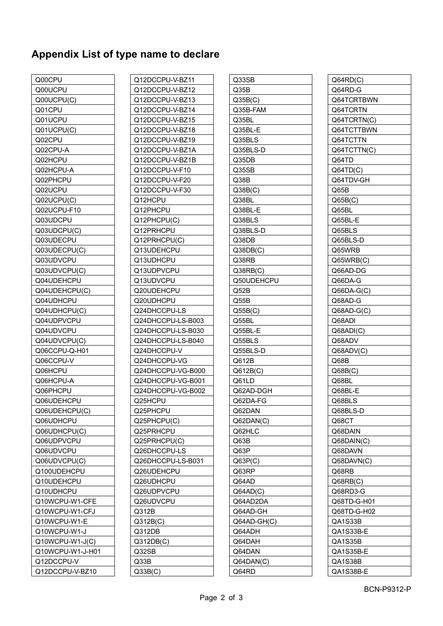## **Appendix List of type name to declare**

| Q00CPU           |
|------------------|
| Q00UCPU          |
| Q00UCPU(C)       |
| Q01CPU           |
| Q01UCPU          |
| Q01UCPU(C)       |
| Q02CPU           |
| Q02CPU-A         |
| Q02HCPU          |
| Q02HCPU-A        |
| Q02PHCPU         |
| Q02UCPU          |
| Q02UCPU(C)       |
| Q02UCPU-F10      |
| Q03UDCPU         |
| Q03UDCPU(C)      |
| Q03UDECPU        |
| Q03UDECPU(C)     |
| Q03UDVCPU        |
| Q03UDVCPU(C)     |
| Q04UDEHCPU       |
| Q04UDEHCPU(C)    |
| Q04UDHCPU        |
| Q04UDHCPU(C)     |
| Q04UDPVCPU       |
| Q04UDVCPU        |
| Q04UDVCPU(C)     |
| Q06CCPU-Q-H01    |
| Q06CCPU-V        |
| Q06HCPU          |
| Q06HCPU-A        |
| Q06PHCPU         |
| Q06UDEHCPU       |
| Q06UDEHCPU(C)    |
| Q06UDHCPU        |
| Q06UDHCPU(C)     |
| Q06UDPVCPU       |
| Q06UDVCPU        |
| Q06UDVCPU(C)     |
| Q100UDEHCPU      |
| Q10UDEHCPU       |
| Q10UDHCPU        |
| Q10WCPU-W1-CFE   |
| Q10WCPU-W1-CFJ   |
| Q10WCPU-W1-E     |
| Q10WCPU-W1-J     |
| Q10WCPU-W1-J(C)  |
| Q10WCPU-W1-J-H01 |
| Q12DCCPU-V       |
| Q12DCCPU-V-BZ10  |
|                  |

| Q12DCCPU-V-BZ11   |
|-------------------|
| Q12DCCPU-V-BZ12   |
| Q12DCCPU-V-BZ13   |
| Q12DCCPU-V-BZ14   |
| Q12DCCPU-V-BZ15   |
| Q12DCCPU-V-BZ18   |
| Q12DCCPU-V-BZ19   |
| Q12DCCPU-V-BZ1A   |
| Q12DCCPU-V-BZ1B   |
| Q12DCCPU-V-F10    |
| Q12DCCPU-V-F20    |
| Q12DCCPU-V-F30    |
| Q12HCPU           |
| Q12PHCPU          |
| Q12PHCPU(C)       |
| Q12PRHCPU         |
| Q12PRHCPU(C)      |
| Q13UDEHCPU        |
| Q13UDHCPU         |
| Q13UDPVCPU        |
| Q13UDVCPU         |
| Q20UDEHCPU        |
| Q20UDHCPU         |
| Q24DHCCPU-LS      |
| Q24DHCCPU-LS-B003 |
| Q24DHCCPU-LS-B030 |
| Q24DHCCPU-LS-B040 |
| Q24DHCCPU-V       |
| Q24DHCCPU-VG      |
| Q24DHCCPU-VG-B000 |
| Q24DHCCPU-VG-B001 |
| Q24DHCCPU-VG-B002 |
| Q25HCPU           |
| Q25PHCPU          |
| Q25PHCPU(C)       |
| Q25PRHCPU         |
| Q25PRHCPU(C)      |
| Q26DHCCPU-LS      |
| Q26DHCCPU-LS-B031 |
| Q26UDEHCPU        |
| Q26UDHCPU         |
| Q26UDPVCPU        |
| Q26UDVCPU         |
| Q312B             |
| Q312B(C)          |
| Q312DB            |
| Q312DB(C)         |
| Q32SB             |
|                   |
| Q33B              |
| Q33B(C)           |

| Q33SB       |
|-------------|
| Q35B        |
| Q35B(C)     |
| Q35B-FAM    |
| Q35BL       |
| Q35BL-E     |
| Q35BLS      |
| Q35BLS-D    |
| Q35DB       |
| Q35SB       |
| Q38B        |
| Q38B(C)     |
| Q38BL       |
| Q38BL-E     |
| Q38BLS      |
| Q38BLS-D    |
| Q38DB       |
| Q38DB(C)    |
| Q38RB       |
| Q38RB(C)    |
| Q50UDEHCPU  |
| Q52B        |
| Q55B        |
| Q55B(C)     |
| Q55BL       |
| Q55BL-E     |
| Q55BLS      |
| Q55BLS-D    |
| Q612B       |
| Q612B(C)    |
| Q61LD       |
| Q62AD-DGH   |
| Q62DA-FG    |
| Q62DAN      |
| Q62DAN(C)   |
| Q62HLC      |
| Q63B        |
| Q63P        |
| Q63P(C)     |
| Q63RP       |
| Q64AD       |
| Q64AD(C)    |
| Q64AD2DA    |
| Q64AD-GH    |
| Q64AD-GH(C) |
| Q64ADH      |
| Q64DAH      |
| Q64DAN      |
| Q64DAN(C)   |
| Q64RD       |
|             |

| Q64RD(C)     |
|--------------|
| Q64RD-G      |
| Q64TCRTBWN   |
| Q64TCRTN     |
| Q64TCRTN(C)  |
| Q64TCTTBWN   |
| Q64TCTTN     |
| Q64TCTTN(C)  |
| Q64TD        |
| Q64TD(C)     |
| Q64TDV-GH    |
| Q65B         |
| Q65B(C)      |
| Q65BL        |
| Q65BL-E      |
| Q65BLS       |
| Q65BLS-D     |
| Q65WRB       |
| Q65WRB(C)    |
| Q66AD-DG     |
| Q66DA-G      |
| $Q66DA-G(C)$ |
| Q68AD-G      |
| $Q68AD-G(C)$ |
| Q68ADI       |
| Q68ADI(C)    |
| Q68ADV       |
| Q68ADV(C)    |
| Q68B         |
| Q68B(C)      |
| Q68BL        |
| Q68BL-E      |
| Q68BLS       |
| Q68BLS-D     |
| Q68CT        |
| Q68DAIN      |
| Q68DAIN(C)   |
| Q68DAVN      |
| Q68DAVN(C)   |
| Q68RB        |
| Q68RB(C)     |
| Q68RD3-G     |
| Q68TD-G-H01  |
| Q68TD-G-H02  |
| QA1S33B      |
| QA1S33B-E    |
| QA1S35B      |
| QA1S35B-E    |
| QA1S38B      |
| QA1S38B-E    |
|              |